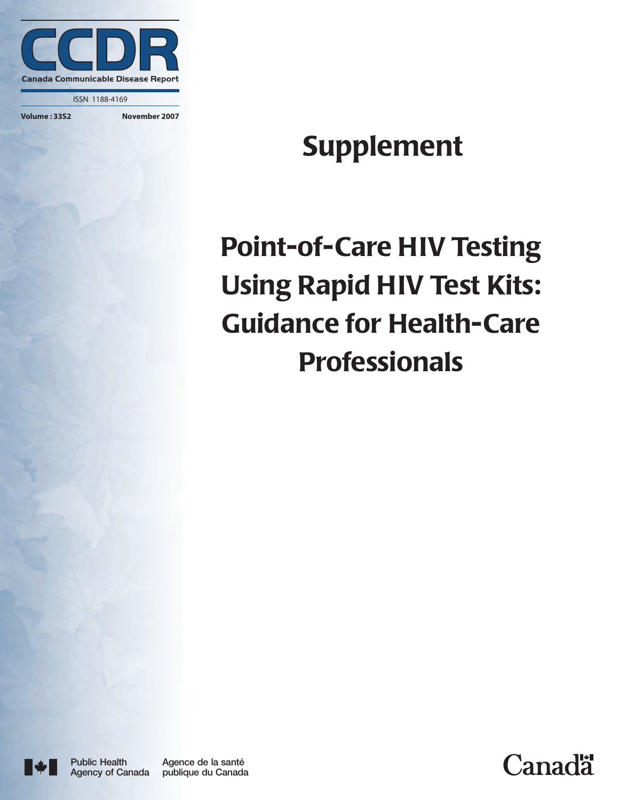

ISSN 1188-4169

#### **Volume : 33S2 November 2007**

# **Supplement**

# **Point-of-Care HIV Testing Using Rapid HIV Test Kits: Guidance for Health-Care Professionals**



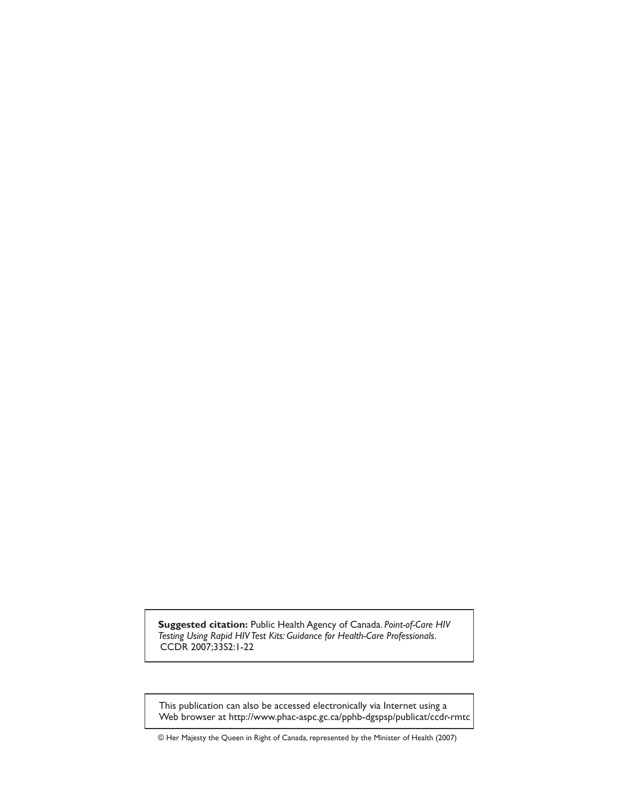**Suggested citation:** Public Health Agency of Canada. *Point-of-Care HIV* Testing Using Rapid HIV Test Kits: Guidance for Health-Care Professionals. CCDR 2007;33S2:1-22.

This publication can also be accessed electronically via Internet using a Web browser at http://www.phac-aspc.gc.ca/pphb-dgspsp/publicat/ccdr-rmtc

© Her Majesty the Queen in Right of Canada, represented by the Minister of Health (2007)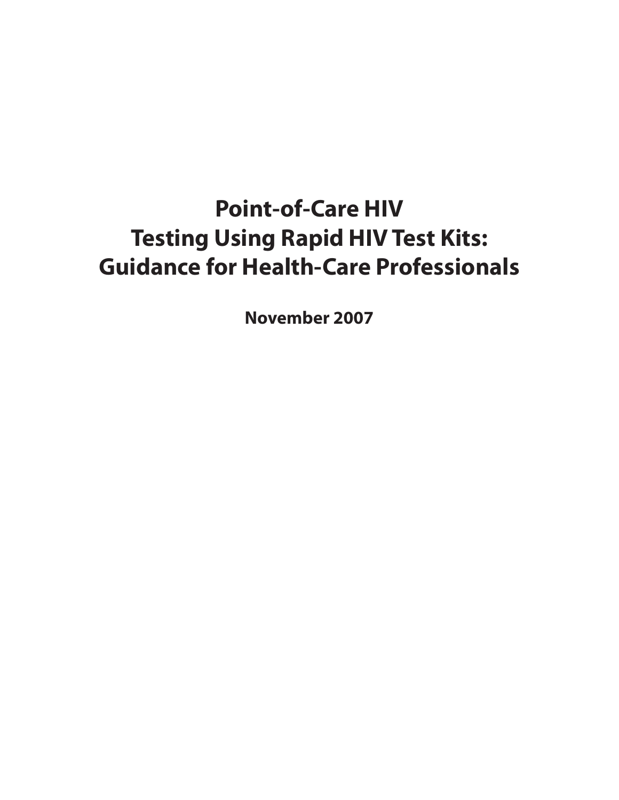# **Point-of-Care HIV Testing Using Rapid HIV Test Kits: Guidance for Health-Care Professionals**

**November 2007**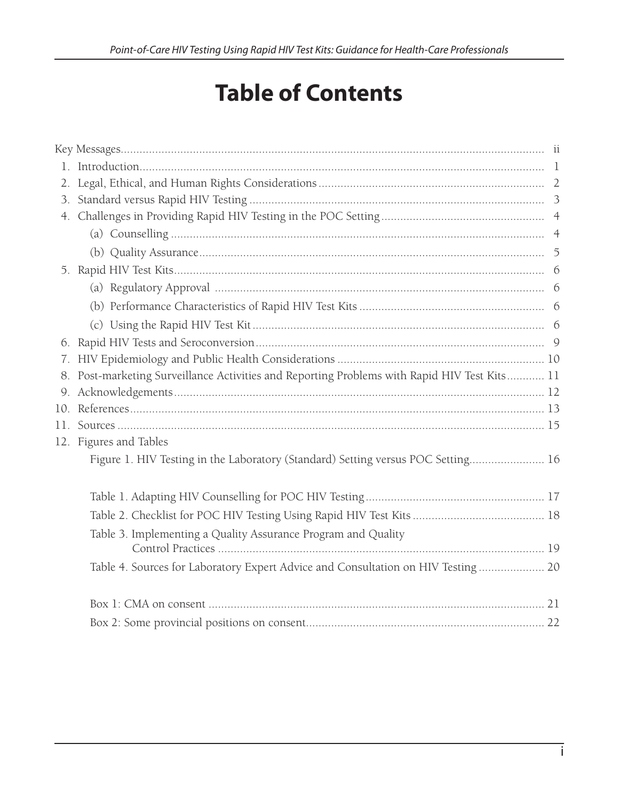# **Table of Contents**

| 7. |                                                                                              |  |
|----|----------------------------------------------------------------------------------------------|--|
|    | 8. Post-marketing Surveillance Activities and Reporting Problems with Rapid HIV Test Kits 11 |  |
|    |                                                                                              |  |
|    |                                                                                              |  |
|    |                                                                                              |  |
|    | 12. Figures and Tables                                                                       |  |
|    | Figure 1. HIV Testing in the Laboratory (Standard) Setting versus POC Setting 16             |  |
|    |                                                                                              |  |
|    |                                                                                              |  |
|    | Table 3. Implementing a Quality Assurance Program and Quality                                |  |
|    | Table 4. Sources for Laboratory Expert Advice and Consultation on HIV Testing 20             |  |
|    |                                                                                              |  |
|    |                                                                                              |  |
|    |                                                                                              |  |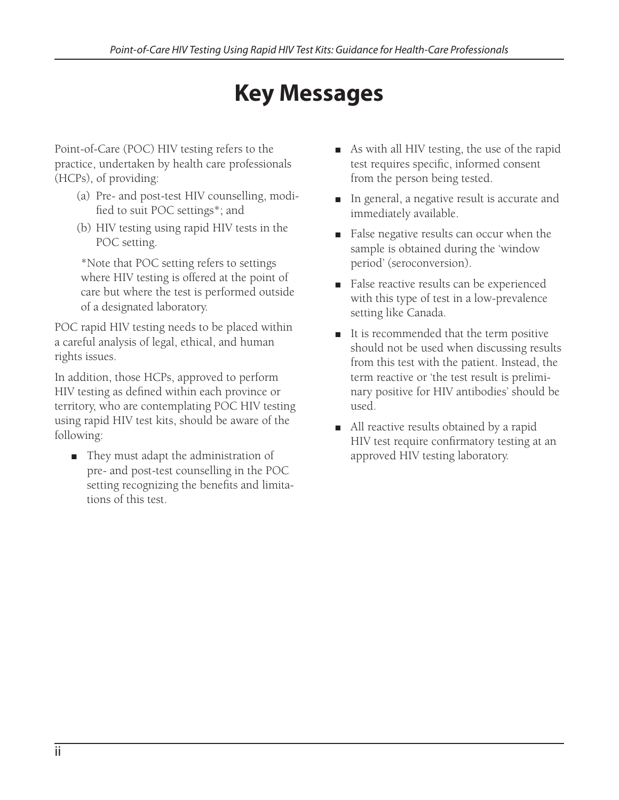# **Key Messages**

Point-of-Care (POC) HIV testing refers to the practice, undertaken by health care professionals (HCPs), of providing:

- (a) Pre- and post-test HIV counselling, modified to suit POC settings<sup>\*</sup>; and
- (b) HIV testing using rapid HIV tests in the POC setting.

\*Note that POC setting refers to settings where HIV testing is offered at the point of care but where the test is performed outside of a designated laboratory.

POC rapid HIV testing needs to be placed within a careful analysis of legal, ethical, and human rights issues.

In addition, those HCPs, approved to perform HIV testing as defined within each province or territory, who are contemplating POC HIV testing using rapid HIV test kits, should be aware of the following:

They must adapt the administration of pre- and post-test counselling in the POC setting recognizing the benefits and limitations of this test.

- As with all HIV testing, the use of the rapid test requires specific, informed consent from the person being tested. F
- In general, a negative result is accurate and immediately available.
- False negative results can occur when the sample is obtained during the 'window period' (seroconversion).
- False reactive results can be experienced with this type of test in a low-prevalence setting like Canada.
- It is recommended that the term positive should not be used when discussing results from this test with the patient. Instead, the term reactive or 'the test result is preliminary positive for HIV antibodies' should be used. F
- All reactive results obtained by a rapid HIV test require confirmatory testing at an approved HIV testing laboratory.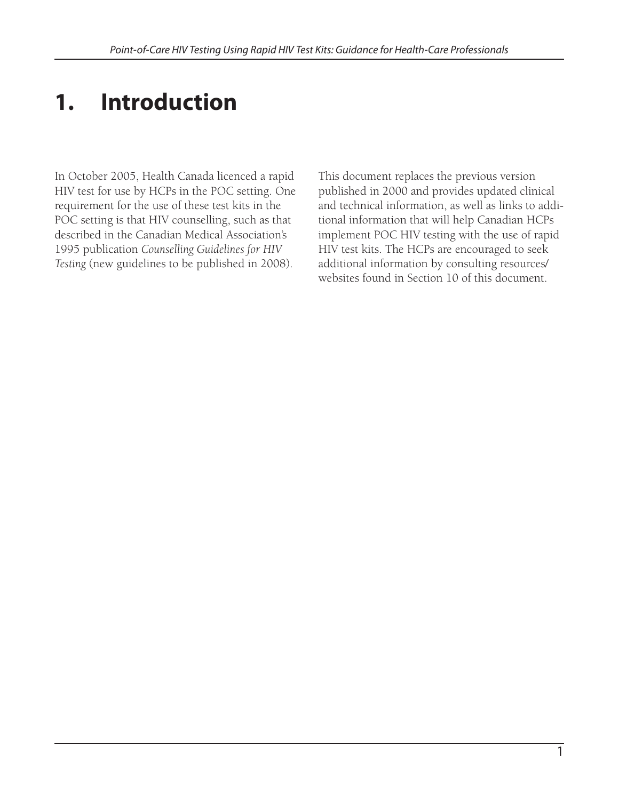# **1. Introduction**

In October 2005, Health Canada licenced a rapid HIV test for use by HCPs in the POC setting. One requirement for the use of these test kits in the POC setting is that HIV counselling, such as that described in the Canadian Medical Association's 1995 publication *Counselling Guidelines for HIV Testing* (new guidelines to be published in 2008).

This document replaces the previous version published in 2000 and provides updated clinical and technical information, as well as links to additional information that will help Canadian HCPs implement POC HIV testing with the use of rapid HIV test kits. The HCPs are encouraged to seek additional information by consulting resources/ websites found in Section 10 of this document.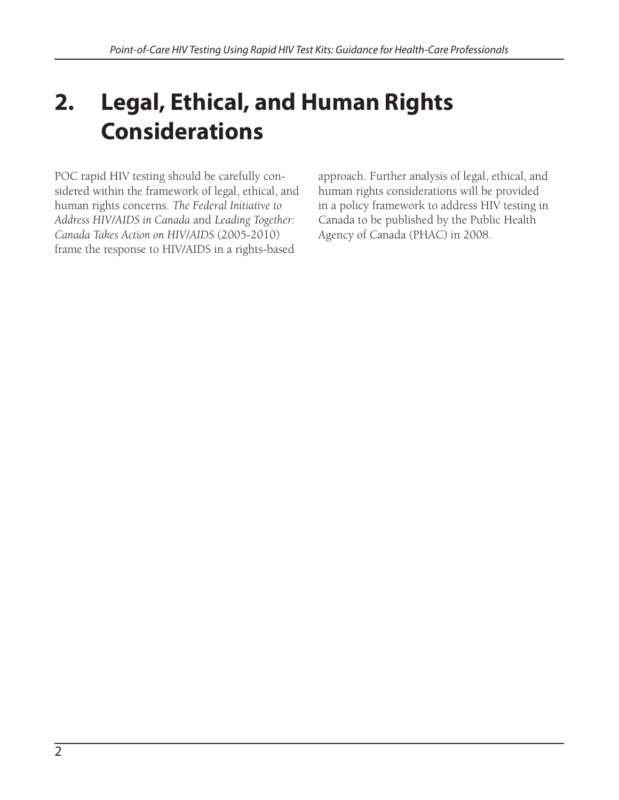# **2. Legal, Ethical, and Human Rights Considerations**

POC rapid HIV testing should be carefully considered within the framework of legal, ethical, and human rights concerns. *The Federal Initiative to Address HIV/AIDS in Canada* and *Leading Together: Canada Takes Action on HIV/AIDS* (2005-2010) frame the response to HIV/AIDS in a rights-based

approach. Further analysis of legal, ethical, and human rights considerations will be provided in a policy framework to address HIV testing in Canada to be published by the Public Health Agency of Canada (PHAC) in 2008.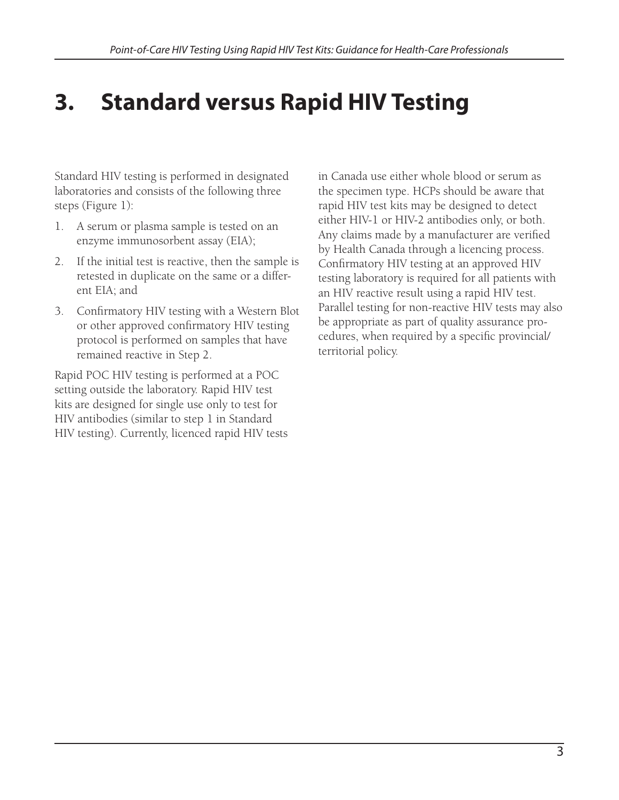## **3. Standard versus Rapid HIV Testing**

Standard HIV testing is performed in designated laboratories and consists of the following three steps (Figure 1):

- 1. A serum or plasma sample is tested on an enzyme immunosorbent assay (EIA);
- 2. If the initial test is reactive, then the sample is retested in duplicate on the same or a different EIA; and
- 3. Confirmatory HIV testing with a Western Blot or other approved confirmatory HIV testing protocol is performed on samples that have remained reactive in Step 2.

Rapid POC HIV testing is performed at a POC setting outside the laboratory. Rapid HIV test kits are designed for single use only to test for HIV antibodies (similar to step 1 in Standard HIV testing). Currently, licenced rapid HIV tests in Canada use either whole blood or serum as the specimen type. HCPs should be aware that rapid HIV test kits may be designed to detect either HIV-1 or HIV-2 antibodies only, or both. Any claims made by a manufacturer are verified by Health Canada through a licencing process. Confirmatory HIV testing at an approved HIV testing laboratory is required for all patients with an HIV reactive result using a rapid HIV test. Parallel testing for non-reactive HIV tests may also be appropriate as part of quality assurance procedures, when required by a specific provincial/ territorial policy.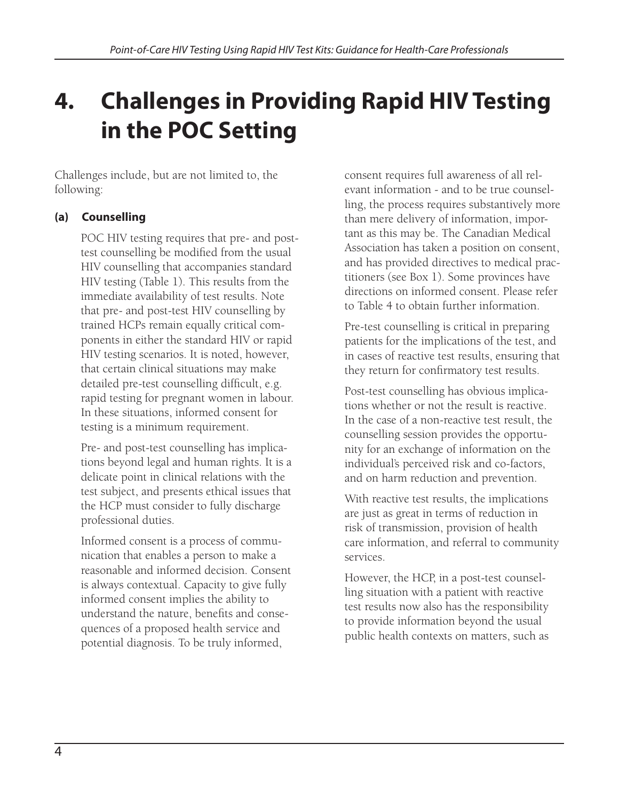# **4. Challenges in Providing Rapid HIV Testing in the POC Setting**

Challenges include, but are not limited to, the following:

### **(a) Counselling**

POC HIV testing requires that pre- and posttest counselling be modified from the usual HIV counselling that accompanies standard HIV testing (Table 1). This results from the immediate availability of test results. Note that pre- and post-test HIV counselling by trained HCPs remain equally critical components in either the standard HIV or rapid HIV testing scenarios. It is noted, however, that certain clinical situations may make detailed pre-test counselling difficult, e.g. rapid testing for pregnant women in labour. In these situations, informed consent for testing is a minimum requirement.

Pre- and post-test counselling has implications beyond legal and human rights. It is a delicate point in clinical relations with the test subject, and presents ethical issues that the HCP must consider to fully discharge professional duties.

Informed consent is a process of communication that enables a person to make a reasonable and informed decision. Consent is always contextual. Capacity to give fully informed consent implies the ability to understand the nature, benefits and consequences of a proposed health service and potential diagnosis. To be truly informed,

consent requires full awareness of all relevant information - and to be true counselling, the process requires substantively more than mere delivery of information, important as this may be. The Canadian Medical Association has taken a position on consent, and has provided directives to medical practitioners (see Box 1). Some provinces have directions on informed consent. Please refer to Table 4 to obtain further information.

Pre-test counselling is critical in preparing patients for the implications of the test, and in cases of reactive test results, ensuring that they return for confirmatory test results.

Post-test counselling has obvious implications whether or not the result is reactive. In the case of a non-reactive test result, the counselling session provides the opportunity for an exchange of information on the individual's perceived risk and co-factors, and on harm reduction and prevention.

With reactive test results, the implications are just as great in terms of reduction in risk of transmission, provision of health care information, and referral to community services.

However, the HCP, in a post-test counselling situation with a patient with reactive test results now also has the responsibility to provide information beyond the usual public health contexts on matters, such as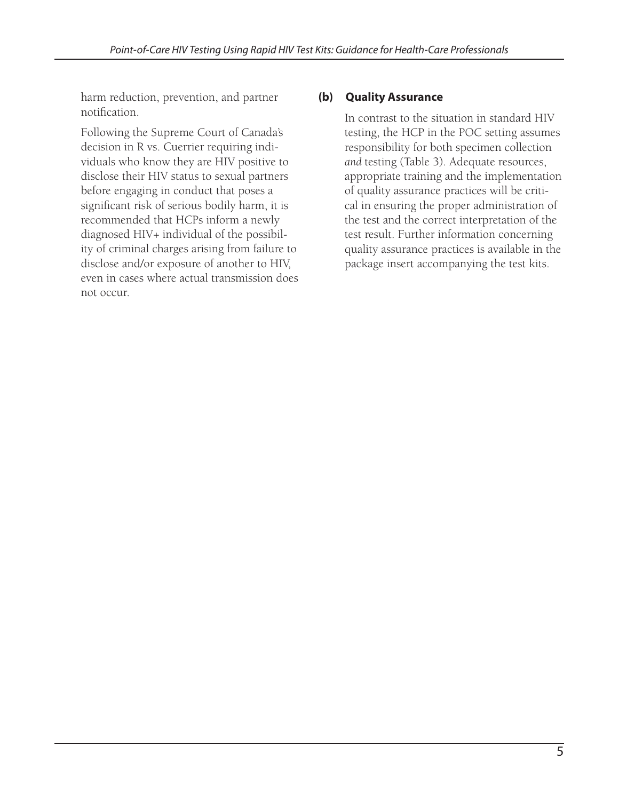harm reduction, prevention, and partner notification.

Following the Supreme Court of Canada's decision in R vs. Cuerrier requiring individuals who know they are HIV positive to disclose their HIV status to sexual partners before engaging in conduct that poses a significant risk of serious bodily harm, it is recommended that HCPs inform a newly diagnosed HIV+ individual of the possibility of criminal charges arising from failure to disclose and/or exposure of another to HIV, even in cases where actual transmission does not occur.

### **(b) Quality Assurance**

In contrast to the situation in standard HIV testing, the HCP in the POC setting assumes responsibility for both specimen collection *and* testing (Table 3). Adequate resources, appropriate training and the implementation of quality assurance practices will be critical in ensuring the proper administration of the test and the correct interpretation of the test result. Further information concerning quality assurance practices is available in the package insert accompanying the test kits.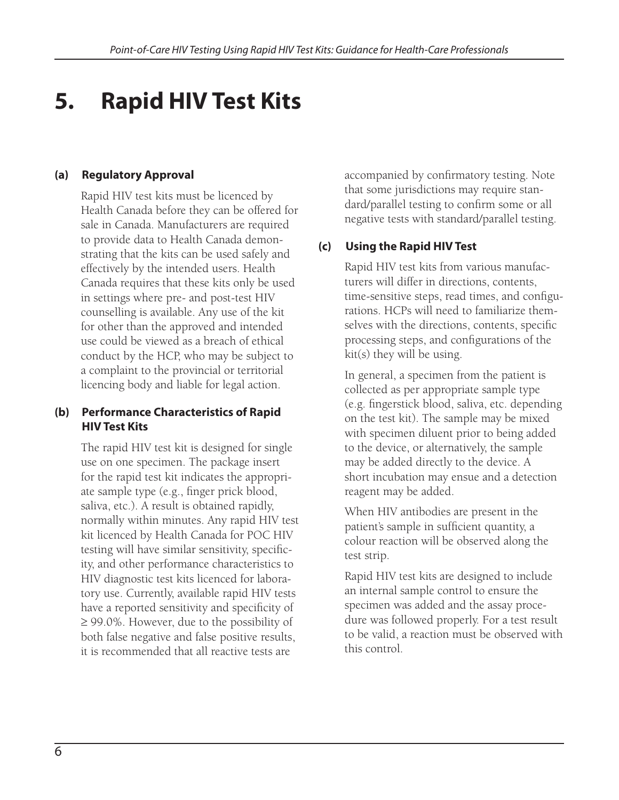# **5. Rapid HIV Test Kits**

### **(a) Regulatory Approval**

Rapid HIV test kits must be licenced by Health Canada before they can be offered for sale in Canada. Manufacturers are required to provide data to Health Canada demonstrating that the kits can be used safely and effectively by the intended users. Health Canada requires that these kits only be used in settings where pre- and post-test HIV counselling is available. Any use of the kit for other than the approved and intended use could be viewed as a breach of ethical conduct by the HCP, who may be subject to a complaint to the provincial or territorial licencing body and liable for legal action.

### **(b) Performance Characteristics of Rapid HIV Test Kits**

The rapid HIV test kit is designed for single use on one specimen. The package insert for the rapid test kit indicates the appropriate sample type (e.g., finger prick blood, saliva, etc.). A result is obtained rapidly, normally within minutes. Any rapid HIV test kit licenced by Health Canada for POC HIV testing will have similar sensitivity, specificity, and other performance characteristics to HIV diagnostic test kits licenced for laboratory use. Currently, available rapid HIV tests have a reported sensitivity and specificity of ≥ 99.0%. However, due to the possibility of both false negative and false positive results, it is recommended that all reactive tests are

accompanied by confirmatory testing. Note that some jurisdictions may require standard/parallel testing to confirm some or all negative tests with standard/parallel testing.

### **(c) Using the Rapid HIV Test**

Rapid HIV test kits from various manufacturers will differ in directions, contents, time-sensitive steps, read times, and configurations. HCPs will need to familiarize themselves with the directions, contents, specific processing steps, and configurations of the kit(s) they will be using.

In general, a specimen from the patient is collected as per appropriate sample type (e.g. fingerstick blood, saliva, etc. depending on the test kit). The sample may be mixed with specimen diluent prior to being added to the device, or alternatively, the sample may be added directly to the device. A short incubation may ensue and a detection reagent may be added.

When HIV antibodies are present in the patient's sample in sufficient quantity, a colour reaction will be observed along the test strip.

Rapid HIV test kits are designed to include an internal sample control to ensure the specimen was added and the assay procedure was followed properly. For a test result to be valid, a reaction must be observed with this control.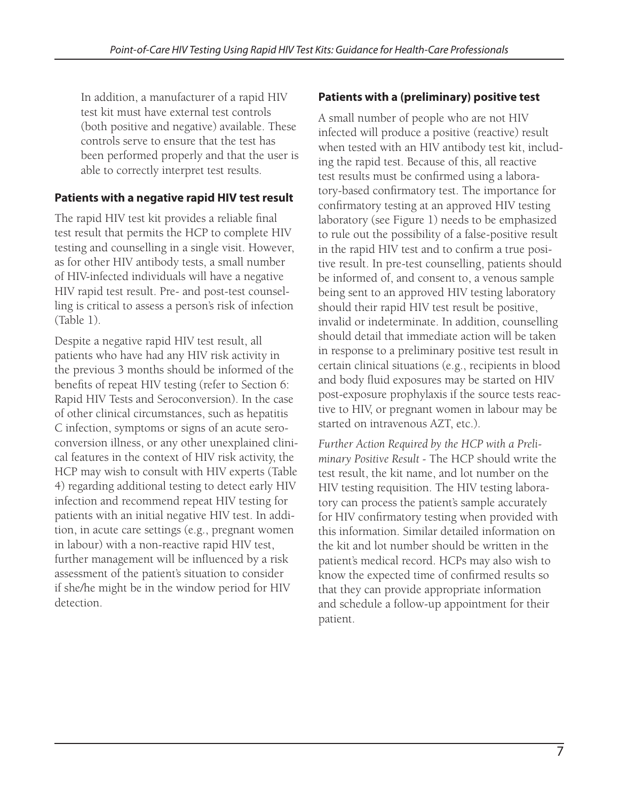In addition, a manufacturer of a rapid HIV test kit must have external test controls (both positive and negative) available. These controls serve to ensure that the test has been performed properly and that the user is able to correctly interpret test results.

### **Patients with a negative rapid HIV test result**

The rapid HIV test kit provides a reliable final test result that permits the HCP to complete HIV testing and counselling in a single visit. However, as for other HIV antibody tests, a small number of HIV-infected individuals will have a negative HIV rapid test result. Pre- and post-test counselling is critical to assess a person's risk of infection (Table 1).

Despite a negative rapid HIV test result, all patients who have had any HIV risk activity in the previous 3 months should be informed of the benefits of repeat HIV testing (refer to Section 6: Rapid HIV Tests and Seroconversion). In the case of other clinical circumstances, such as hepatitis C infection, symptoms or signs of an acute seroconversion illness, or any other unexplained clinical features in the context of HIV risk activity, the HCP may wish to consult with HIV experts (Table 4) regarding additional testing to detect early HIV infection and recommend repeat HIV testing for patients with an initial negative HIV test. In addition, in acute care settings (e.g., pregnant women in labour) with a non-reactive rapid HIV test, further management will be influenced by a risk assessment of the patient's situation to consider if she/he might be in the window period for HIV detection.

### **Patients with a (preliminary) positive test**

A small number of people who are not HIV infected will produce a positive (reactive) result when tested with an HIV antibody test kit, including the rapid test. Because of this, all reactive test results must be confirmed using a laboratory-based confirmatory test. The importance for confirmatory testing at an approved HIV testing laboratory (see Figure 1) needs to be emphasized to rule out the possibility of a false-positive result in the rapid HIV test and to confirm a true positive result. In pre-test counselling, patients should be informed of, and consent to, a venous sample being sent to an approved HIV testing laboratory should their rapid HIV test result be positive, invalid or indeterminate. In addition, counselling should detail that immediate action will be taken in response to a preliminary positive test result in certain clinical situations (e.g., recipients in blood and body fluid exposures may be started on HIV post-exposure prophylaxis if the source tests reactive to HIV, or pregnant women in labour may be started on intravenous AZT, etc.).

*Further Action Required by the HCP with a Preliminary Positive Result -* The HCP should write the test result, the kit name, and lot number on the HIV testing requisition. The HIV testing laboratory can process the patient's sample accurately for HIV confirmatory testing when provided with this information. Similar detailed information on the kit and lot number should be written in the patient's medical record. HCPs may also wish to know the expected time of confirmed results so that they can provide appropriate information and schedule a follow-up appointment for their patient.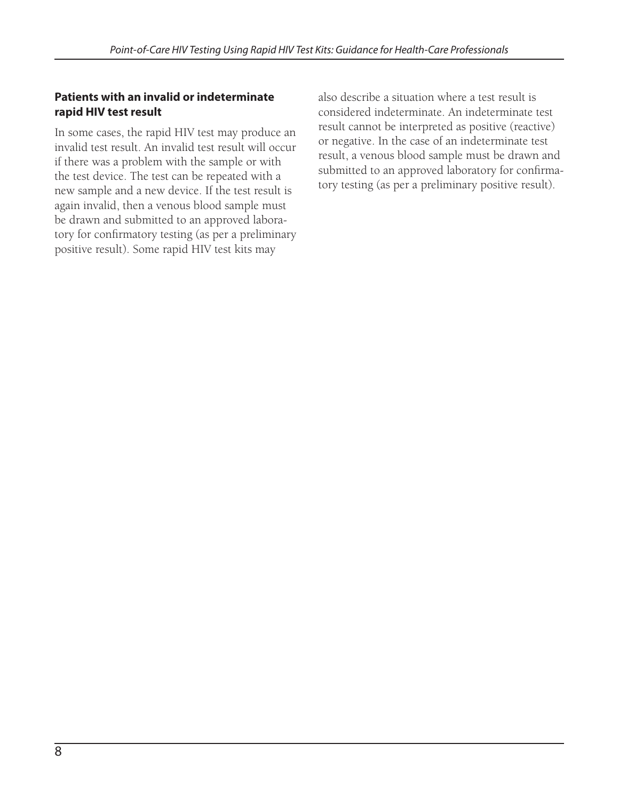### **Patients with an invalid or indeterminate rapid HIV test result**

In some cases, the rapid HIV test may produce an invalid test result. An invalid test result will occur if there was a problem with the sample or with the test device. The test can be repeated with a new sample and a new device. If the test result is again invalid, then a venous blood sample must be drawn and submitted to an approved laboratory for confirmatory testing (as per a preliminary positive result). Some rapid HIV test kits may

also describe a situation where a test result is considered indeterminate. An indeterminate test result cannot be interpreted as positive (reactive) or negative. In the case of an indeterminate test result, a venous blood sample must be drawn and submitted to an approved laboratory for confirmatory testing (as per a preliminary positive result).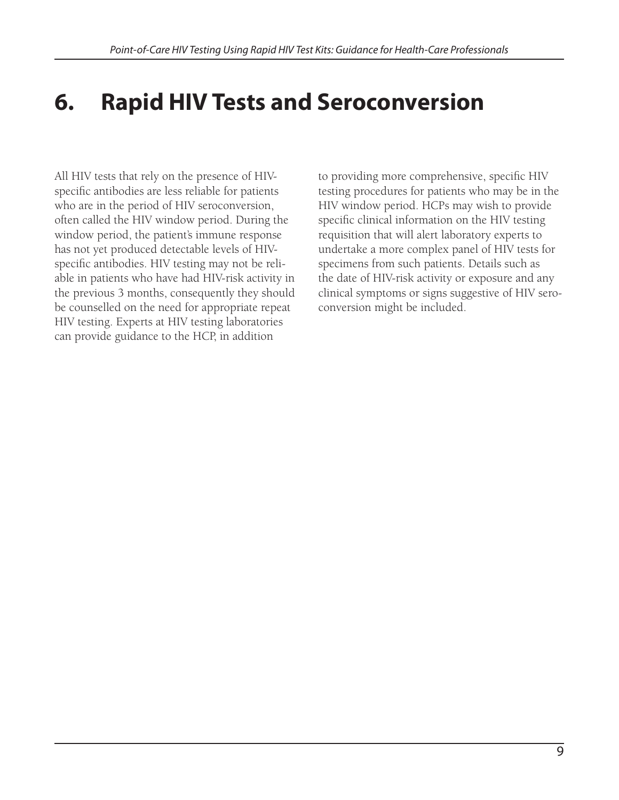# **6. Rapid HIV Tests and Seroconversion**

All HIV tests that rely on the presence of HIVspecific antibodies are less reliable for patients who are in the period of HIV seroconversion, often called the HIV window period. During the window period, the patient's immune response has not yet produced detectable levels of HIVspecific antibodies. HIV testing may not be reliable in patients who have had HIV-risk activity in the previous 3 months, consequently they should be counselled on the need for appropriate repeat HIV testing. Experts at HIV testing laboratories can provide guidance to the HCP, in addition

to providing more comprehensive, specific HIV testing procedures for patients who may be in the HIV window period. HCPs may wish to provide specific clinical information on the HIV testing requisition that will alert laboratory experts to undertake a more complex panel of HIV tests for specimens from such patients. Details such as the date of HIV-risk activity or exposure and any clinical symptoms or signs suggestive of HIV seroconversion might be included.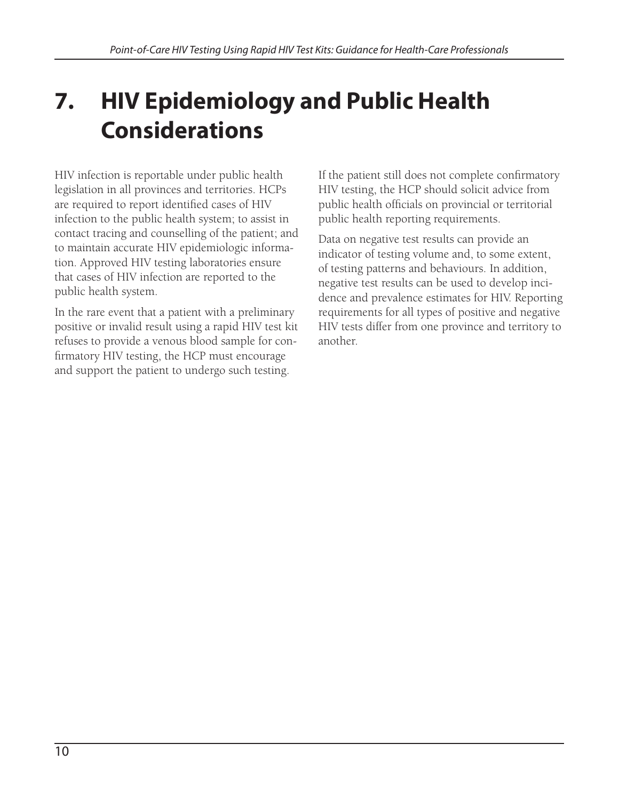# **7. HIV Epidemiology and Public Health Considerations**

HIV infection is reportable under public health legislation in all provinces and territories. HCPs are required to report identified cases of HIV infection to the public health system; to assist in contact tracing and counselling of the patient; and to maintain accurate HIV epidemiologic information. Approved HIV testing laboratories ensure that cases of HIV infection are reported to the public health system.

In the rare event that a patient with a preliminary positive or invalid result using a rapid HIV test kit refuses to provide a venous blood sample for confirmatory HIV testing, the HCP must encourage and support the patient to undergo such testing.

If the patient still does not complete confirmatory HIV testing, the HCP should solicit advice from public health officials on provincial or territorial public health reporting requirements.

Data on negative test results can provide an indicator of testing volume and, to some extent, of testing patterns and behaviours. In addition, negative test results can be used to develop incidence and prevalence estimates for HIV. Reporting requirements for all types of positive and negative HIV tests differ from one province and territory to another.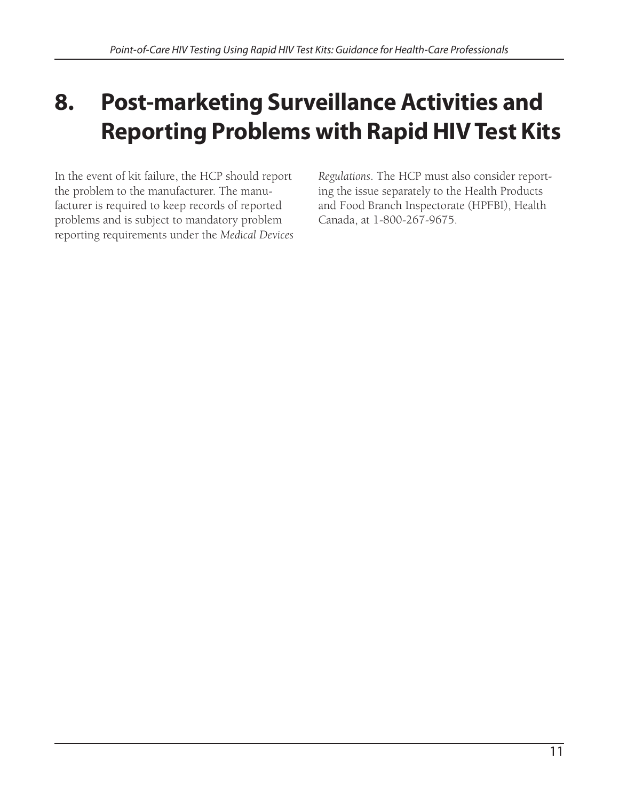# **8. Post-marketing Surveillance Activities and Reporting Problems with Rapid HIV Test Kits**

In the event of kit failure, the HCP should report the problem to the manufacturer. The manufacturer is required to keep records of reported problems and is subject to mandatory problem reporting requirements under the *Medical Devices*  *Regulations*. The HCP must also consider reporting the issue separately to the Health Products and Food Branch Inspectorate (HPFBI), Health Canada, at 1-800-267-9675.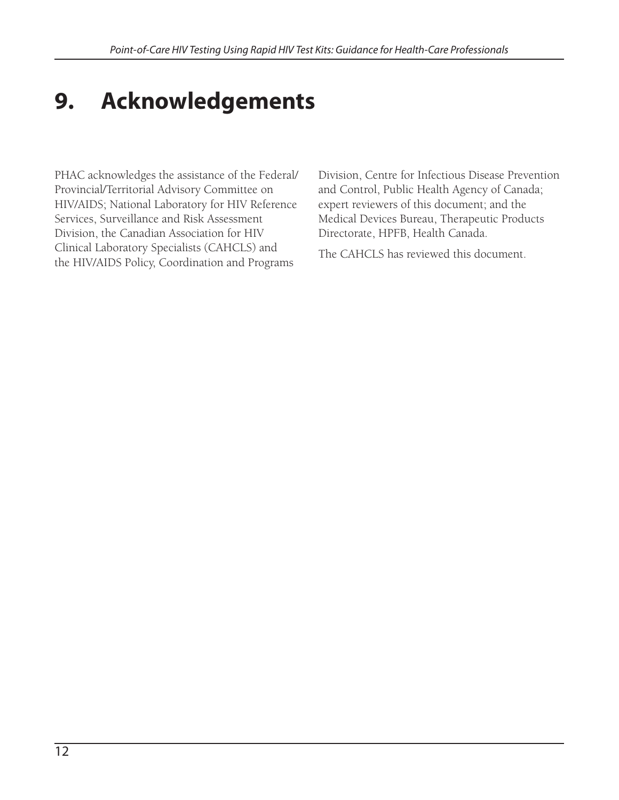# **9. Acknowledgements**

PHAC acknowledges the assistance of the Federal/ Provincial/Territorial Advisory Committee on HIV/AIDS; National Laboratory for HIV Reference Services, Surveillance and Risk Assessment Division, the Canadian Association for HIV Clinical Laboratory Specialists (CAHCLS) and the HIV/AIDS Policy, Coordination and Programs

Division, Centre for Infectious Disease Prevention and Control, Public Health Agency of Canada; expert reviewers of this document; and the Medical Devices Bureau, Therapeutic Products Directorate, HPFB, Health Canada.

The CAHCLS has reviewed this document.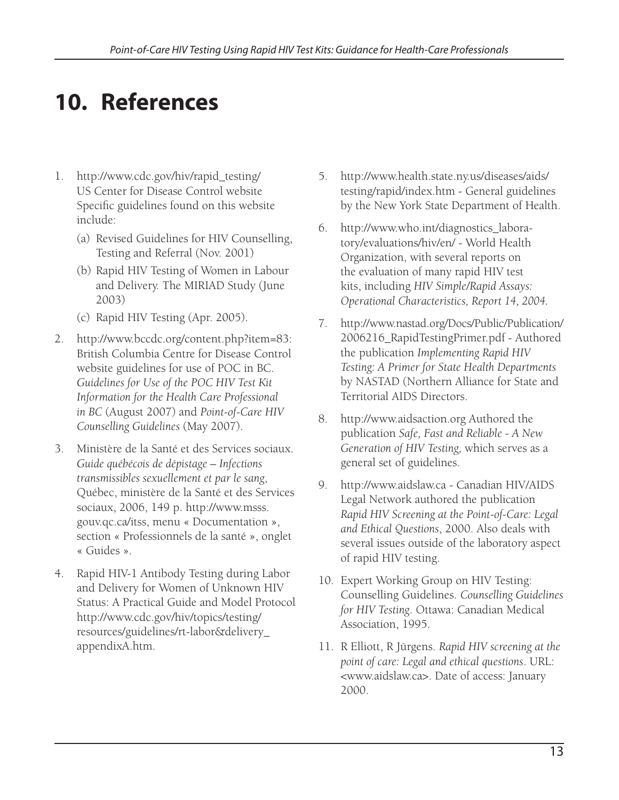# **10. References**

- 1. http://www.cdc.gov/hiv/rapid\_testing/ US Center for Disease Control website Specific guidelines found on this website include:
	- (a) Revised Guidelines for HIV Counselling, Testing and Referral (Nov. 2001)
	- (b) Rapid HIV Testing of Women in Labour and Delivery. The MIRIAD Study (June 2003)
	- (c) Rapid HIV Testing (Apr. 2005).
- 2. http://www.bccdc.org/content.php?item=83: British Columbia Centre for Disease Control website guidelines for use of POC in BC. *Guidelines for Use of the POC HIV Test Kit Information for the Health Care Professional in BC* (August 2007) and *Point-of-Care HIV Counselling Guidelines* (May 2007).
- 3. Ministère de la Santé et des Services sociaux. *Guide québécois de dépistage – Infections transmissibles sexuellement et par le sang*, Québec, ministère de la Santé et des Services sociaux, 2006, 149 p. http://www.msss. gouv.qc.ca/itss, menu « Documentation », section « Professionnels de la santé », onglet « Guides ».
- 4. Rapid HIV-1 Antibody Testing during Labor and Delivery for Women of Unknown HIV Status: A Practical Guide and Model Protocol http://www.cdc.gov/hiv/topics/testing/ resources/guidelines/rt-labor&delivery\_ appendixA.htm.
- 5. http://www.health.state.ny.us/diseases/aids/ testing/rapid/index.htm - General guidelines by the New York State Department of Health.
- 6. http://www.who.int/diagnostics\_laboratory/evaluations/hiv/en/ - World Health Organization, with several reports on the evaluation of many rapid HIV test kits, including *HIV Simple/Rapid Assays: Operational Characteristics, Report 14, 2004.*
- 7. http://www.nastad.org/Docs/Public/Publication/ 2006216\_RapidTestingPrimer.pdf - Authored the publication *Implementing Rapid HIV Testing: A Primer for State Health Departments*  by NASTAD (Northern Alliance for State and Territorial AIDS Directors.
- 8. http://www.aidsaction.org Authored the publication *Safe, Fast and Reliable - A New Generation of HIV Testing,* which serves as a general set of guidelines.
- 9. http://www.aidslaw.ca Canadian HIV/AIDS Legal Network authored the publication *Rapid HIV Screening at the Point-of-Care: Legal and Ethical Questions*, 2000. Also deals with several issues outside of the laboratory aspect of rapid HIV testing.
- 10. Expert Working Group on HIV Testing: Counselling Guidelines. *Counselling Guidelines for HIV Testing*. Ottawa: Canadian Medical Association, 1995.
- 11. R Elliott, R Jürgens. *Rapid HIV screening at the point of care: Legal and ethical questions*. URL: <www.aidslaw.ca>. Date of access: January 2000.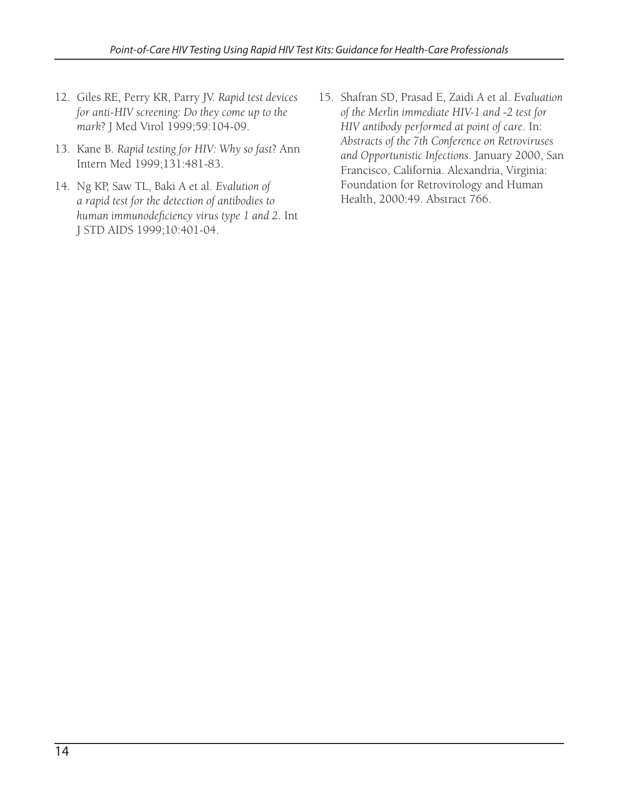- 12. Giles RE, Perry KR, Parry JV. *Rapid test devices for anti-HIV screening: Do they come up to the mark*? J Med Virol 1999;59:104-09.
- 13. Kane B. *Rapid testing for HIV: Why so fast*? Ann Intern Med 1999;131:481-83.
- 14. Ng KP, Saw TL, Baki A et al. *Evalution of a rapid test for the detection of antibodies to*  human immunodeficiency virus type 1 and 2. Int J STD AIDS 1999;10:401-04.
- 15. Shafran SD, Prasad E, Zaidi A et al. *Evaluation of the Merlin immediate HIV-1 and -2 test for HIV antibody performed at point of care*. In: *Abstracts of the 7th Conference on Retroviruses and Opportunistic Infections*. January 2000, San Francisco, California. Alexandria, Virginia: Foundation for Retrovirology and Human Health, 2000:49. Abstract 766.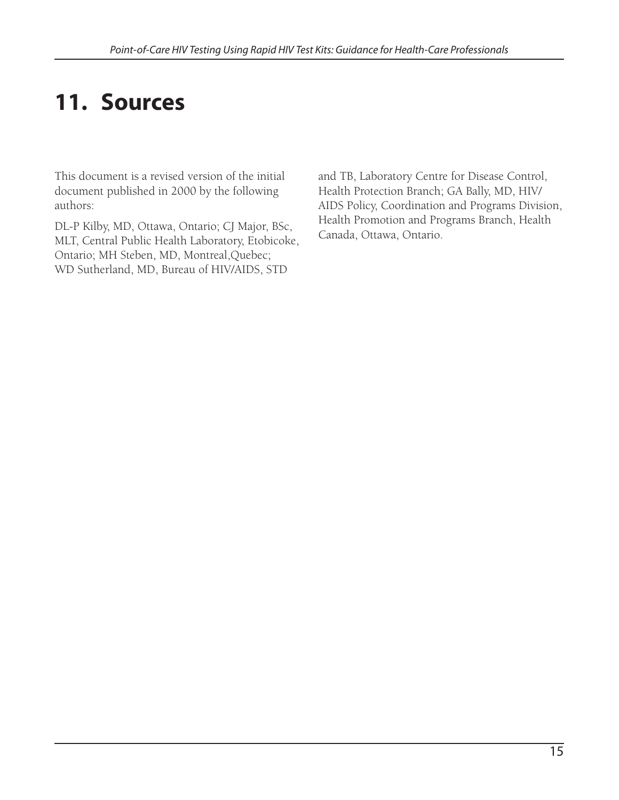# **11. Sources**

This document is a revised version of the initial document published in 2000 by the following authors:

DL-P Kilby, MD, Ottawa, Ontario; CJ Major, BSc, MLT, Central Public Health Laboratory, Etobicoke, Ontario; MH Steben, MD, Montreal,Quebec; WD Sutherland, MD, Bureau of HIV/AIDS, STD

and TB, Laboratory Centre for Disease Control, Health Protection Branch; GA Bally, MD, HIV/ AIDS Policy, Coordination and Programs Division, Health Promotion and Programs Branch, Health Canada, Ottawa, Ontario.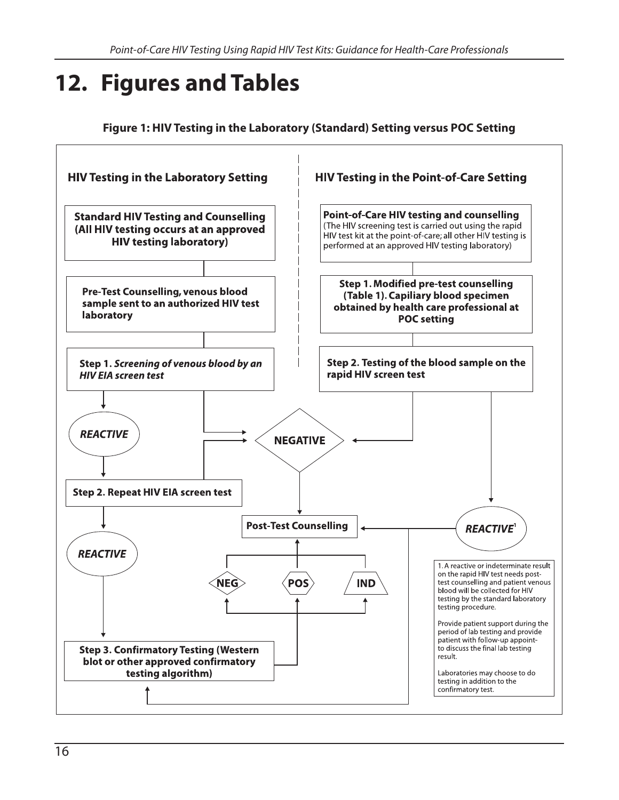# **12. Figures and Tables**

**Figure 1: HIV Testing in the Laboratory (Standard) Setting versus POC Setting** 

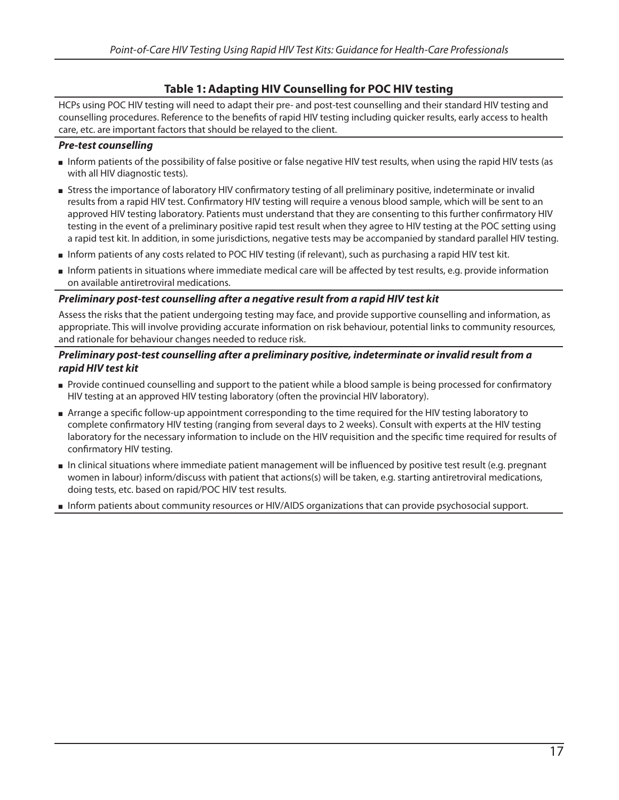#### **Table 1: Adapting HIV Counselling for POC HIV testing**

HCPs using POC HIV testing will need to adapt their pre- and post-test counselling and their standard HIV testing and counselling procedures. Reference to the benefits of rapid HIV testing including quicker results, early access to health care, etc. are important factors that should be relayed to the client.

#### *Pre-test counselling*

- Inform patients of the possibility of false positive or false negative HIV test results, when using the rapid HIV tests (as with all HIV diagnostic tests).
- Stress the importance of laboratory HIV confirmatory testing of all preliminary positive, indeterminate or invalid results from a rapid HIV test. Confirmatory HIV testing will require a venous blood sample, which will be sent to an approved HIV testing laboratory. Patients must understand that they are consenting to this further confirmatory HIV testing in the event of a preliminary positive rapid test result when they agree to HIV testing at the POC setting using a rapid test kit. In addition, in some jurisdictions, negative tests may be accompanied by standard parallel HIV testing.
- Inform patients of any costs related to POC HIV testing (if relevant), such as purchasing a rapid HIV test kit.
- Inform patients in situations where immediate medical care will be affected by test results, e.g. provide information on available antiretroviral medications.

#### *Preliminary post-test counselling after a negative result from a rapid HIV test kit*

Assess the risks that the patient undergoing testing may face, and provide supportive counselling and information, as appropriate. This will involve providing accurate information on risk behaviour, potential links to community resources, and rationale for behaviour changes needed to reduce risk.

#### *Preliminary post-test counselling after a preliminary positive, indeterminate or invalid result from a rapid HIV test kit*

- Provide continued counselling and support to the patient while a blood sample is being processed for confirmatory HIV testing at an approved HIV testing laboratory (often the provincial HIV laboratory).
- **Arrange a specific follow-up appointment corresponding to the time required for the HIV testing laboratory to** complete confirmatory HIV testing (ranging from several days to 2 weeks). Consult with experts at the HIV testing laboratory for the necessary information to include on the HIV requisition and the specific time required for results of confirmatory HIV testing.
- In clinical situations where immediate patient management will be influenced by positive test result (e.g. pregnant women in labour) inform/discuss with patient that actions(s) will be taken, e.g. starting antiretroviral medications, doing tests, etc. based on rapid/POC HIV test results.
- Inform patients about community resources or HIV/AIDS organizations that can provide psychosocial support.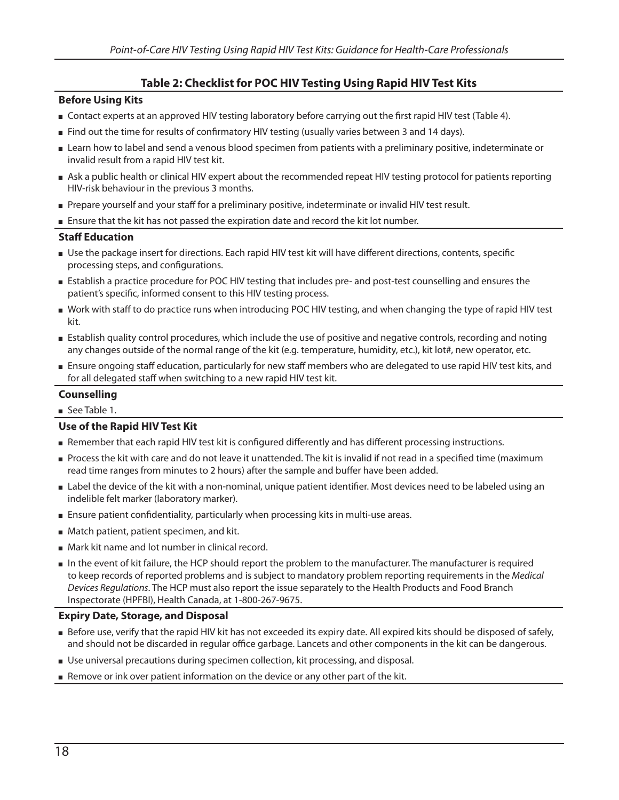### **Table 2: Checklist for POC HIV Testing Using Rapid HIV Test Kits**

#### **Before Using Kits**

- **Contact experts at an approved HIV testing laboratory before carrying out the first rapid HIV test (Table 4).**
- If rind out the time for results of confirmatory HIV testing (usually varies between 3 and 14 days).
- Learn how to label and send a venous blood specimen from patients with a preliminary positive, indeterminate or invalid result from a rapid HIV test kit.
- Ask a public health or clinical HIV expert about the recommended repeat HIV testing protocol for patients reporting HIV-risk behaviour in the previous 3 months.
- Prepare yourself and your staff for a preliminary positive, indeterminate or invalid HIV test result.
- **Ensure that the kit has not passed the expiration date and record the kit lot number.**

#### **Staff Education**

- Use the package insert for directions. Each rapid HIV test kit will have different directions, contents, specific processing steps, and configurations.
- Establish a practice procedure for POC HIV testing that includes pre- and post-test counselling and ensures the patient's specific, informed consent to this HIV testing process.
- Work with staff to do practice runs when introducing POC HIV testing, and when changing the type of rapid HIV test kit.
- Establish quality control procedures, which include the use of positive and negative controls, recording and noting any changes outside of the normal range of the kit (e.g. temperature, humidity, etc.), kit lot#, new operator, etc.
- Ensure ongoing staff education, particularly for new staff members who are delegated to use rapid HIV test kits, and for all delegated staff when switching to a new rapid HIV test kit.

#### **Counselling**

See Table 1.

#### **Use of the Rapid HIV Test Kit**

- Remember that each rapid HIV test kit is configured differently and has different processing instructions.
- Process the kit with care and do not leave it unattended. The kit is invalid if not read in a specified time (maximum read time ranges from minutes to 2 hours) after the sample and buffer have been added.
- **Label the device of the kit with a non-nominal, unique patient identifier. Most devices need to be labeled using an** indelible felt marker (laboratory marker).
- **Ensure patient confidentiality, particularly when processing kits in multi-use areas.**
- **Match patient, patient specimen, and kit.**
- Mark kit name and lot number in clinical record.
- In the event of kit failure, the HCP should report the problem to the manufacturer. The manufacturer is required to keep records of reported problems and is subject to mandatory problem reporting requirements in the Medical Devices Regulations. The HCP must also report the issue separately to the Health Products and Food Branch Inspectorate (HPFBI), Health Canada, at 1-800-267-9675.

#### **Expiry Date, Storage, and Disposal**

- Before use, verify that the rapid HIV kit has not exceeded its expiry date. All expired kits should be disposed of safely, and should not be discarded in regular office garbage. Lancets and other components in the kit can be dangerous.
- **Use universal precautions during specimen collection, kit processing, and disposal.**
- **Remove or ink over patient information on the device or any other part of the kit.**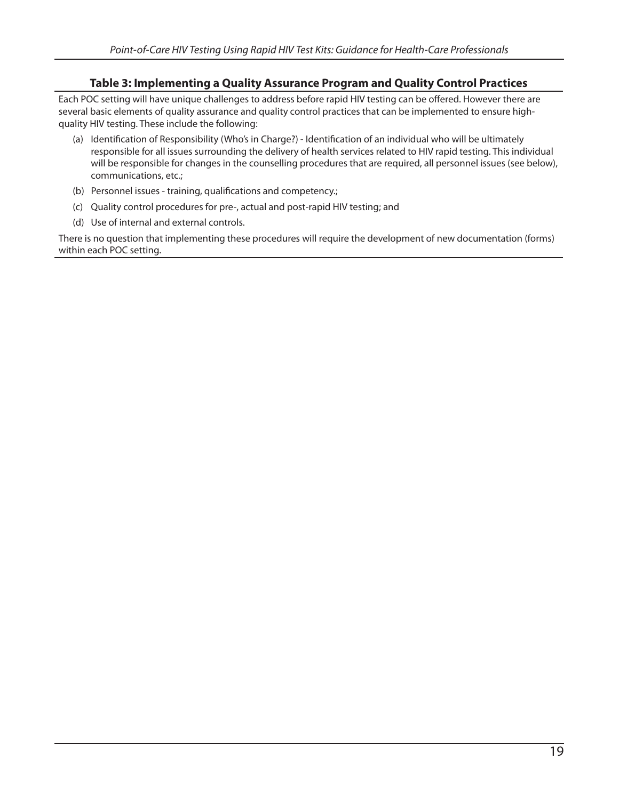### **Table 3: Implementing a Quality Assurance Program and Quality Control Practices**

Each POC setting will have unique challenges to address before rapid HIV testing can be offered. However there are several basic elements of quality assurance and quality control practices that can be implemented to ensure highquality HIV testing. These include the following:

- (a) Identification of Responsibility (Who's in Charge?) Identification of an individual who will be ultimately responsible for all issues surrounding the delivery of health services related to HIV rapid testing. This individual will be responsible for changes in the counselling procedures that are required, all personnel issues (see below), communications, etc.;
- (b) Personnel issues training, qualifications and competency.;
- (c) Quality control procedures for pre-, actual and post-rapid HIV testing; and
- (d) Use of internal and external controls.

There is no question that implementing these procedures will require the development of new documentation (forms) within each POC setting.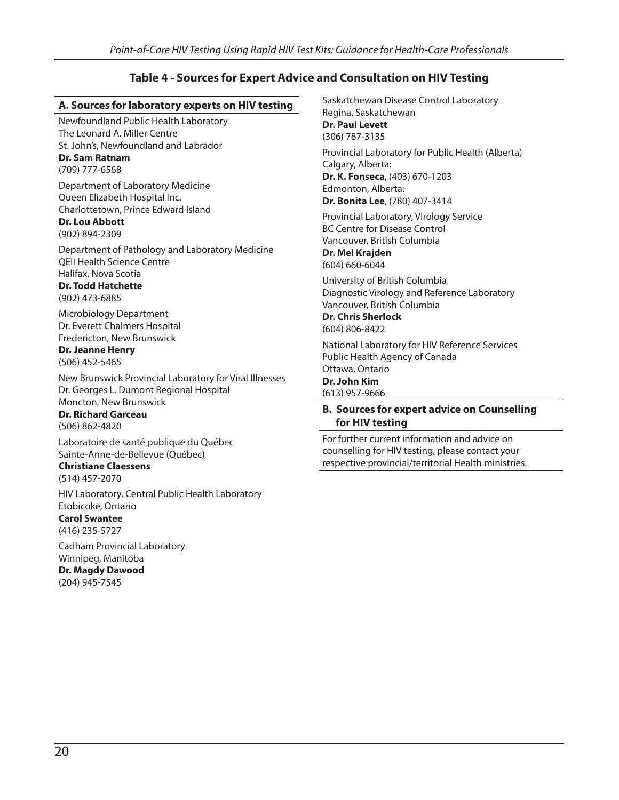### **Table 4 - Sources for Expert Advice and Consultation on HIV Testing**

#### **A. Sources for laboratory experts on HIV testing**

Newfoundland Public Health Laboratory The Leonard A. Miller Centre St. John's, Newfoundland and Labrador **Dr. Sam Ratnam**

(709) 777-6568

Department of Laboratory Medicine Queen Elizabeth Hospital Inc. Charlottetown, Prince Edward Island

#### **Dr. Lou Abbott** (902) 894-2309

Department of Pathology and Laboratory Medicine QEII Health Science Centre Halifax, Nova Scotia

#### **Dr. Todd Hatchette** (902) 473-6885

Microbiology Department Dr. Everett Chalmers Hospital Fredericton, New Brunswick

**Dr. Jeanne Henry** (506) 452-5465

New Brunswick Provincial Laboratory for Viral Illnesses Dr. Georges L. Dumont Regional Hospital Moncton, New Brunswick

**Dr. Richard Garceau** (506) 862-4820

Laboratoire de santé publique du Québec Sainte-Anne-de-Bellevue (Québec)

**Christiane Claessens** (514) 457-2070

HIV Laboratory, Central Public Health Laboratory Etobicoke, Ontario

**Carol Swantee** (416) 235-5727

Cadham Provincial Laboratory Winnipeg, Manitoba **Dr. Magdy Dawood** (204) 945-7545

Saskatchewan Disease Control Laboratory Regina, Saskatchewan **Dr. Paul Levett** (306) 787-3135 Provincial Laboratory for Public Health (Alberta)

Calgary, Alberta: **Dr. K. Fonseca**, (403) 670-1203 Edmonton, Alberta: **Dr. Bonita Lee**, (780) 407-3414

Provincial Laboratory, Virology Service BC Centre for Disease Control Vancouver, British Columbia

**Dr. Mel Krajden** (604) 660-6044

University of British Columbia Diagnostic Virology and Reference Laboratory Vancouver, British Columbia

**Dr. Chris Sherlock** (604) 806-8422

National Laboratory for HIV Reference Services Public Health Agency of Canada Ottawa, Ontario **Dr. John Kim**

(613) 957-9666

#### **B. Sources for expert advice on Counselling for HIV testing**

For further current information and advice on counselling for HIV testing, please contact your respective provincial/territorial Health ministries.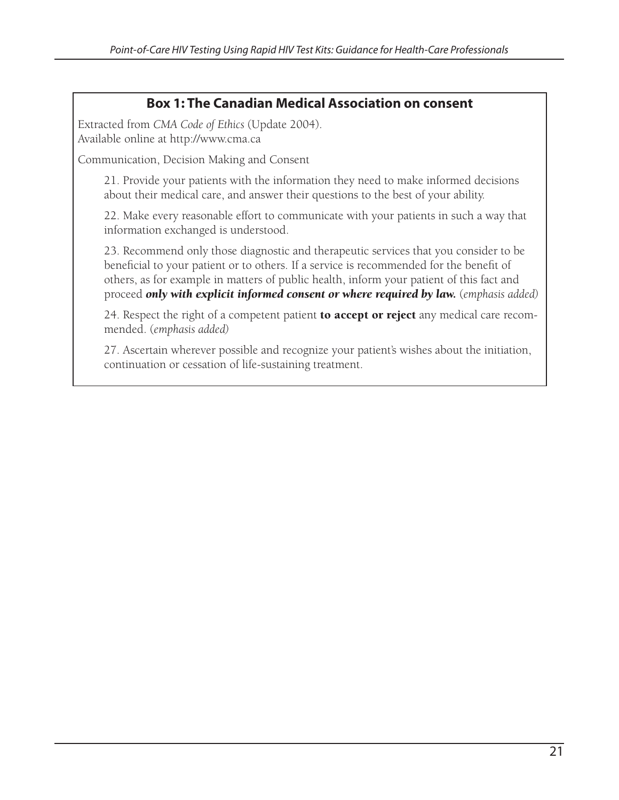### **Box 1: The Canadian Medical Association on consent**

Extracted from *CMA Code of Ethics* (Update 2004). Available online at http://www.cma.ca

Communication, Decision Making and Consent

21. Provide your patients with the information they need to make informed decisions about their medical care, and answer their questions to the best of your ability.

22. Make every reasonable effort to communicate with your patients in such a way that information exchanged is understood.

23. Recommend only those diagnostic and therapeutic services that you consider to be beneficial to your patient or to others. If a service is recommended for the benefit of others, as for example in matters of public health, inform your patient of this fact and proceed *only with explicit informed consent or where required by law.* (*emphasis added)*

24. Respect the right of a competent patient **to accept or reject** any medical care recommended. (*emphasis added)*

27. Ascertain wherever possible and recognize your patient's wishes about the initiation, continuation or cessation of life-sustaining treatment.